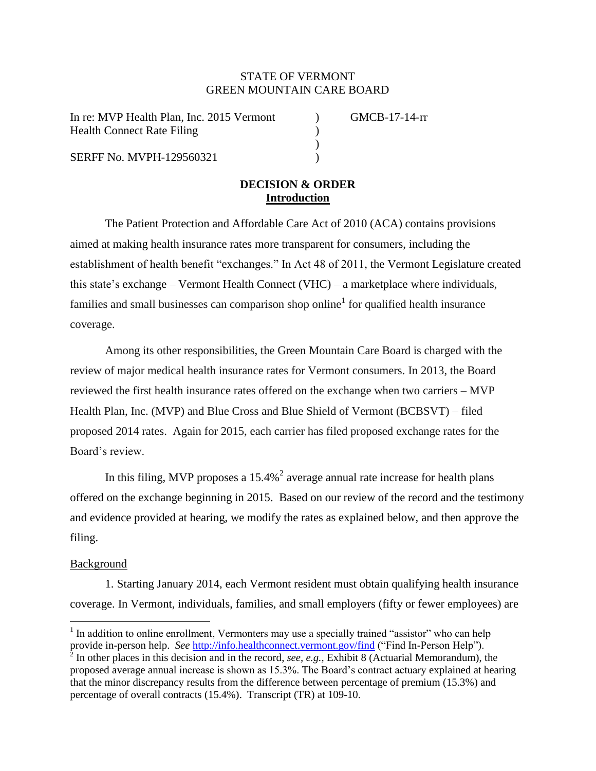# STATE OF VERMONT GREEN MOUNTAIN CARE BOARD

In re: MVP Health Plan, Inc. 2015 Vermont (a) GMCB-17-14-rr Health Connect Rate Filing (1986)

SERFF No. MVPH-129560321 (1994)

# **DECISION & ORDER Introduction**

)

The Patient Protection and Affordable Care Act of 2010 (ACA) contains provisions aimed at making health insurance rates more transparent for consumers, including the establishment of health benefit "exchanges." In Act 48 of 2011, the Vermont Legislature created this state's exchange – Vermont Health Connect (VHC) – a marketplace where individuals, families and small businesses can comparison shop online<sup>1</sup> for qualified health insurance coverage.

Among its other responsibilities, the Green Mountain Care Board is charged with the review of major medical health insurance rates for Vermont consumers. In 2013, the Board reviewed the first health insurance rates offered on the exchange when two carriers – MVP Health Plan, Inc. (MVP) and Blue Cross and Blue Shield of Vermont (BCBSVT) – filed proposed 2014 rates. Again for 2015, each carrier has filed proposed exchange rates for the Board's review.

In this filing, MVP proposes a  $15.4\%$ <sup>2</sup> average annual rate increase for health plans offered on the exchange beginning in 2015. Based on our review of the record and the testimony and evidence provided at hearing, we modify the rates as explained below, and then approve the filing.

#### Background

1. Starting January 2014, each Vermont resident must obtain qualifying health insurance coverage. In Vermont, individuals, families, and small employers (fifty or fewer employees) are

 $\overline{a}$  $<sup>1</sup>$  In addition to online enrollment, Vermonters may use a specially trained "assistor" who can help</sup> provide in-person help. *See* <http://info.healthconnect.vermont.gov/find> ("Find In-Person Help").

<sup>&</sup>lt;sup>2</sup> In other places in this decision and in the record, *see, e.g.*, Exhibit 8 (Actuarial Memorandum), the proposed average annual increase is shown as 15.3%. The Board's contract actuary explained at hearing that the minor discrepancy results from the difference between percentage of premium (15.3%) and percentage of overall contracts (15.4%). Transcript (TR) at 109-10.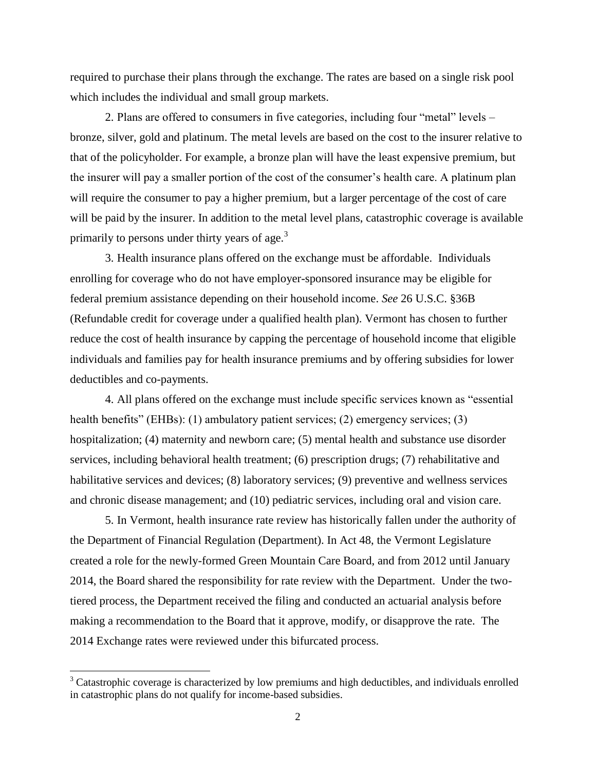required to purchase their plans through the exchange. The rates are based on a single risk pool which includes the individual and small group markets.

2. Plans are offered to consumers in five categories, including four "metal" levels – bronze, silver, gold and platinum. The metal levels are based on the cost to the insurer relative to that of the policyholder. For example, a bronze plan will have the least expensive premium, but the insurer will pay a smaller portion of the cost of the consumer's health care. A platinum plan will require the consumer to pay a higher premium, but a larger percentage of the cost of care will be paid by the insurer. In addition to the metal level plans, catastrophic coverage is available primarily to persons under thirty years of age.<sup>3</sup>

3. Health insurance plans offered on the exchange must be affordable. Individuals enrolling for coverage who do not have employer-sponsored insurance may be eligible for federal premium assistance depending on their household income. *See* 26 U.S.C. §36B (Refundable credit for coverage under a qualified health plan). Vermont has chosen to further reduce the cost of health insurance by capping the percentage of household income that eligible individuals and families pay for health insurance premiums and by offering subsidies for lower deductibles and co-payments.

4. All plans offered on the exchange must include specific services known as "essential health benefits" (EHBs): (1) ambulatory patient services; (2) emergency services; (3) hospitalization; (4) maternity and newborn care; (5) mental health and substance use disorder services, including behavioral health treatment; (6) prescription drugs; (7) rehabilitative and habilitative services and devices; (8) laboratory services; (9) preventive and wellness services and chronic disease management; and (10) pediatric services, including oral and vision care.

5. In Vermont, health insurance rate review has historically fallen under the authority of the Department of Financial Regulation (Department). In Act 48, the Vermont Legislature created a role for the newly-formed Green Mountain Care Board, and from 2012 until January 2014, the Board shared the responsibility for rate review with the Department. Under the twotiered process, the Department received the filing and conducted an actuarial analysis before making a recommendation to the Board that it approve, modify, or disapprove the rate. The 2014 Exchange rates were reviewed under this bifurcated process.

 $\overline{\phantom{a}}$ 

<sup>&</sup>lt;sup>3</sup> Catastrophic coverage is characterized by low premiums and high deductibles, and individuals enrolled in catastrophic plans do not qualify for income-based subsidies.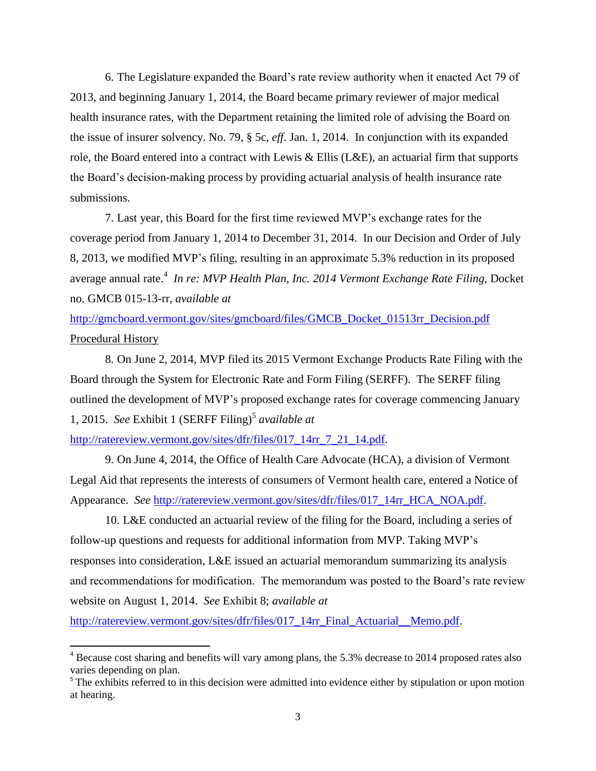6. The Legislature expanded the Board's rate review authority when it enacted Act 79 of 2013, and beginning January 1, 2014, the Board became primary reviewer of major medical health insurance rates, with the Department retaining the limited role of advising the Board on the issue of insurer solvency. No. 79, § 5c, *eff*. Jan. 1, 2014. In conjunction with its expanded role, the Board entered into a contract with Lewis & Ellis (L&E), an actuarial firm that supports the Board's decision-making process by providing actuarial analysis of health insurance rate submissions.

7. Last year, this Board for the first time reviewed MVP's exchange rates for the coverage period from January 1, 2014 to December 31, 2014. In our Decision and Order of July 8, 2013, we modified MVP's filing, resulting in an approximate 5.3% reduction in its proposed average annual rate.<sup>4</sup> *In re: MVP Health Plan, Inc. 2014 Vermont Exchange Rate Filing*, Docket no. GMCB 015-13-rr, *available at*

[http://gmcboard.vermont.gov/sites/gmcboard/files/GMCB\\_Docket\\_01513rr\\_Decision.pdf](http://gmcboard.vermont.gov/sites/gmcboard/files/GMCB_Docket_01513rr_Decision.pdf) Procedural History

8. On June 2, 2014, MVP filed its 2015 Vermont Exchange Products Rate Filing with the Board through the System for Electronic Rate and Form Filing (SERFF). The SERFF filing outlined the development of MVP's proposed exchange rates for coverage commencing January 1, 2015. See Exhibit 1 (SERFF Filing)<sup>5</sup> available at

[http://ratereview.vermont.gov/sites/dfr/files/017\\_14rr\\_7\\_21\\_14.pdf.](http://ratereview.vermont.gov/sites/dfr/files/017_14rr_7_21_14.pdf)

 $\overline{\phantom{a}}$ 

9. On June 4, 2014, the Office of Health Care Advocate (HCA), a division of Vermont Legal Aid that represents the interests of consumers of Vermont health care, entered a Notice of Appearance. *See* [http://ratereview.vermont.gov/sites/dfr/files/017\\_14rr\\_HCA\\_NOA.pdf.](http://ratereview.vermont.gov/sites/dfr/files/017_14rr_HCA_NOA.pdf)

10. L&E conducted an actuarial review of the filing for the Board, including a series of follow-up questions and requests for additional information from MVP. Taking MVP's responses into consideration, L&E issued an actuarial memorandum summarizing its analysis and recommendations for modification. The memorandum was posted to the Board's rate review website on August 1, 2014. *See* Exhibit 8; *available at*

http://ratereview.vermont.gov/sites/dfr/files/017\_14rr\_Final\_Actuarial\_Memo.pdf.

<sup>&</sup>lt;sup>4</sup> Because cost sharing and benefits will vary among plans, the 5.3% decrease to 2014 proposed rates also varies depending on plan.

<sup>&</sup>lt;sup>5</sup> The exhibits referred to in this decision were admitted into evidence either by stipulation or upon motion at hearing.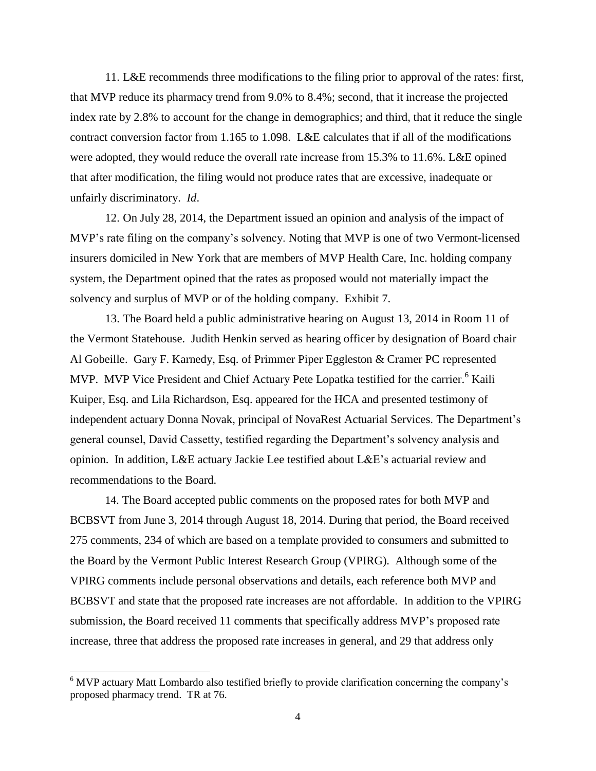11. L&E recommends three modifications to the filing prior to approval of the rates: first, that MVP reduce its pharmacy trend from 9.0% to 8.4%; second, that it increase the projected index rate by 2.8% to account for the change in demographics; and third, that it reduce the single contract conversion factor from 1.165 to 1.098. L&E calculates that if all of the modifications were adopted, they would reduce the overall rate increase from 15.3% to 11.6%. L&E opined that after modification, the filing would not produce rates that are excessive, inadequate or unfairly discriminatory. *Id*.

12. On July 28, 2014, the Department issued an opinion and analysis of the impact of MVP's rate filing on the company's solvency. Noting that MVP is one of two Vermont-licensed insurers domiciled in New York that are members of MVP Health Care, Inc. holding company system, the Department opined that the rates as proposed would not materially impact the solvency and surplus of MVP or of the holding company. Exhibit 7.

13. The Board held a public administrative hearing on August 13, 2014 in Room 11 of the Vermont Statehouse. Judith Henkin served as hearing officer by designation of Board chair Al Gobeille. Gary F. Karnedy, Esq. of Primmer Piper Eggleston & Cramer PC represented MVP. MVP Vice President and Chief Actuary Pete Lopatka testified for the carrier.<sup>6</sup> Kaili Kuiper, Esq. and Lila Richardson, Esq. appeared for the HCA and presented testimony of independent actuary Donna Novak, principal of NovaRest Actuarial Services. The Department's general counsel, David Cassetty, testified regarding the Department's solvency analysis and opinion. In addition, L&E actuary Jackie Lee testified about L&E's actuarial review and recommendations to the Board.

14. The Board accepted public comments on the proposed rates for both MVP and BCBSVT from June 3, 2014 through August 18, 2014. During that period, the Board received 275 comments, 234 of which are based on a template provided to consumers and submitted to the Board by the Vermont Public Interest Research Group (VPIRG). Although some of the VPIRG comments include personal observations and details, each reference both MVP and BCBSVT and state that the proposed rate increases are not affordable. In addition to the VPIRG submission, the Board received 11 comments that specifically address MVP's proposed rate increase, three that address the proposed rate increases in general, and 29 that address only

 $\overline{\phantom{a}}$ 

<sup>&</sup>lt;sup>6</sup> MVP actuary Matt Lombardo also testified briefly to provide clarification concerning the company's proposed pharmacy trend. TR at 76.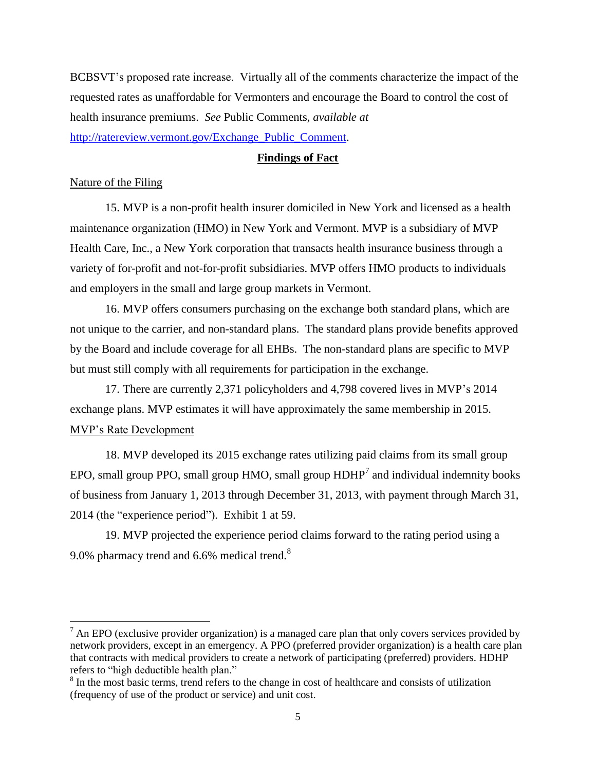BCBSVT's proposed rate increase. Virtually all of the comments characterize the impact of the requested rates as unaffordable for Vermonters and encourage the Board to control the cost of health insurance premiums. *See* Public Comments, *available at* [http://ratereview.vermont.gov/Exchange\\_Public\\_Comment.](http://ratereview.vermont.gov/Exchange_Public_Comment)

### **Findings of Fact**

#### Nature of the Filing

 $\overline{a}$ 

15. MVP is a non-profit health insurer domiciled in New York and licensed as a health maintenance organization (HMO) in New York and Vermont. MVP is a subsidiary of MVP Health Care, Inc., a New York corporation that transacts health insurance business through a variety of for-profit and not-for-profit subsidiaries. MVP offers HMO products to individuals and employers in the small and large group markets in Vermont.

16. MVP offers consumers purchasing on the exchange both standard plans, which are not unique to the carrier, and non-standard plans. The standard plans provide benefits approved by the Board and include coverage for all EHBs. The non-standard plans are specific to MVP but must still comply with all requirements for participation in the exchange.

17. There are currently 2,371 policyholders and 4,798 covered lives in MVP's 2014 exchange plans. MVP estimates it will have approximately the same membership in 2015. MVP's Rate Development

18. MVP developed its 2015 exchange rates utilizing paid claims from its small group EPO, small group PPO, small group HMO, small group  $HDHP<sup>7</sup>$  and individual indemnity books of business from January 1, 2013 through December 31, 2013, with payment through March 31, 2014 (the "experience period"). Exhibit 1 at 59.

19. MVP projected the experience period claims forward to the rating period using a 9.0% pharmacy trend and 6.6% medical trend. $8$ 

 $<sup>7</sup>$  An EPO (exclusive provider organization) is a managed care plan that only covers services provided by</sup> network providers, except in an emergency. A PPO (preferred provider organization) is a health care plan that contracts with medical providers to create a network of participating (preferred) providers. HDHP refers to "high deductible health plan."

<sup>&</sup>lt;sup>8</sup> In the most basic terms, trend refers to the change in cost of healthcare and consists of utilization (frequency of use of the product or service) and unit cost.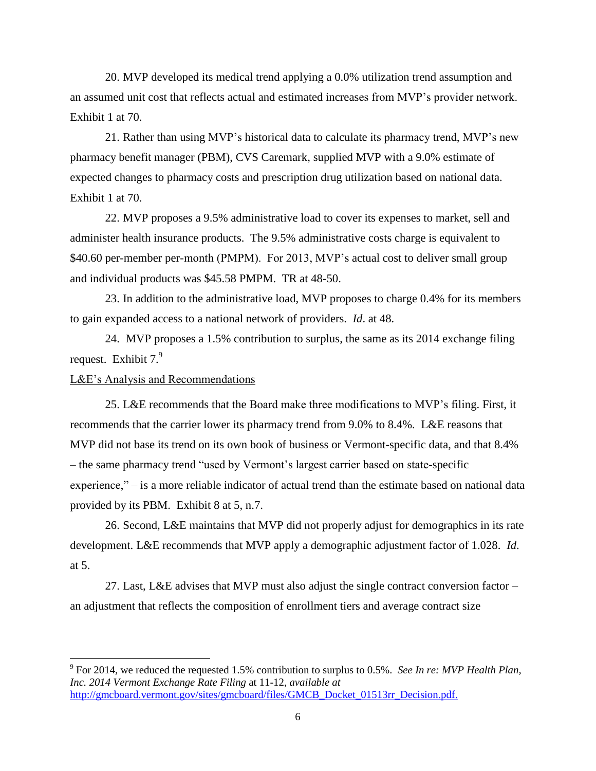20. MVP developed its medical trend applying a 0.0% utilization trend assumption and an assumed unit cost that reflects actual and estimated increases from MVP's provider network. Exhibit 1 at 70.

21. Rather than using MVP's historical data to calculate its pharmacy trend, MVP's new pharmacy benefit manager (PBM), CVS Caremark, supplied MVP with a 9.0% estimate of expected changes to pharmacy costs and prescription drug utilization based on national data. Exhibit 1 at 70.

22. MVP proposes a 9.5% administrative load to cover its expenses to market, sell and administer health insurance products. The 9.5% administrative costs charge is equivalent to \$40.60 per-member per-month (PMPM). For 2013, MVP's actual cost to deliver small group and individual products was \$45.58 PMPM. TR at 48-50.

23. In addition to the administrative load, MVP proposes to charge 0.4% for its members to gain expanded access to a national network of providers. *Id*. at 48.

24. MVP proposes a 1.5% contribution to surplus, the same as its 2014 exchange filing request. Exhibit 7.<sup>9</sup>

### L&E's Analysis and Recommendations

 $\overline{a}$ 

25. L&E recommends that the Board make three modifications to MVP's filing. First, it recommends that the carrier lower its pharmacy trend from 9.0% to 8.4%. L&E reasons that MVP did not base its trend on its own book of business or Vermont-specific data, and that 8.4% – the same pharmacy trend "used by Vermont's largest carrier based on state-specific experience," – is a more reliable indicator of actual trend than the estimate based on national data provided by its PBM. Exhibit 8 at 5, n.7.

26. Second, L&E maintains that MVP did not properly adjust for demographics in its rate development. L&E recommends that MVP apply a demographic adjustment factor of 1.028. *Id*. at 5.

27. Last, L&E advises that MVP must also adjust the single contract conversion factor – an adjustment that reflects the composition of enrollment tiers and average contract size

<sup>9</sup> For 2014, we reduced the requested 1.5% contribution to surplus to 0.5%. *See In re: MVP Health Plan, Inc. 2014 Vermont Exchange Rate Filing* at 11-12, *available at* [http://gmcboard.vermont.gov/sites/gmcboard/files/GMCB\\_Docket\\_01513rr\\_Decision.pdf.](http://gmcboard.vermont.gov/sites/gmcboard/files/GMCB_Docket_01513rr_Decision.pdf)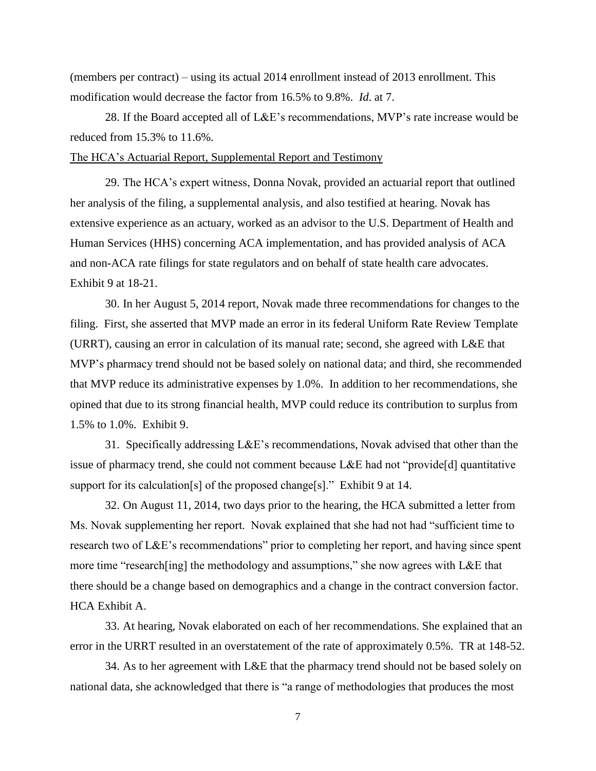(members per contract) – using its actual 2014 enrollment instead of 2013 enrollment. This modification would decrease the factor from 16.5% to 9.8%. *Id*. at 7.

28. If the Board accepted all of L&E's recommendations, MVP's rate increase would be reduced from 15.3% to 11.6%.

The HCA's Actuarial Report, Supplemental Report and Testimony

29. The HCA's expert witness, Donna Novak, provided an actuarial report that outlined her analysis of the filing, a supplemental analysis, and also testified at hearing. Novak has extensive experience as an actuary, worked as an advisor to the U.S. Department of Health and Human Services (HHS) concerning ACA implementation, and has provided analysis of ACA and non-ACA rate filings for state regulators and on behalf of state health care advocates. Exhibit 9 at 18-21.

30. In her August 5, 2014 report, Novak made three recommendations for changes to the filing. First, she asserted that MVP made an error in its federal Uniform Rate Review Template (URRT), causing an error in calculation of its manual rate; second, she agreed with L&E that MVP's pharmacy trend should not be based solely on national data; and third, she recommended that MVP reduce its administrative expenses by 1.0%. In addition to her recommendations, she opined that due to its strong financial health, MVP could reduce its contribution to surplus from 1.5% to 1.0%. Exhibit 9.

31. Specifically addressing L&E's recommendations, Novak advised that other than the issue of pharmacy trend, she could not comment because L&E had not "provide[d] quantitative support for its calculation[s] of the proposed change[s]." Exhibit 9 at 14.

32. On August 11, 2014, two days prior to the hearing, the HCA submitted a letter from Ms. Novak supplementing her report. Novak explained that she had not had "sufficient time to research two of L&E's recommendations" prior to completing her report, and having since spent more time "research [ing] the methodology and assumptions," she now agrees with L&E that there should be a change based on demographics and a change in the contract conversion factor. HCA Exhibit A.

33. At hearing, Novak elaborated on each of her recommendations. She explained that an error in the URRT resulted in an overstatement of the rate of approximately 0.5%. TR at 148-52.

34. As to her agreement with L&E that the pharmacy trend should not be based solely on national data, she acknowledged that there is "a range of methodologies that produces the most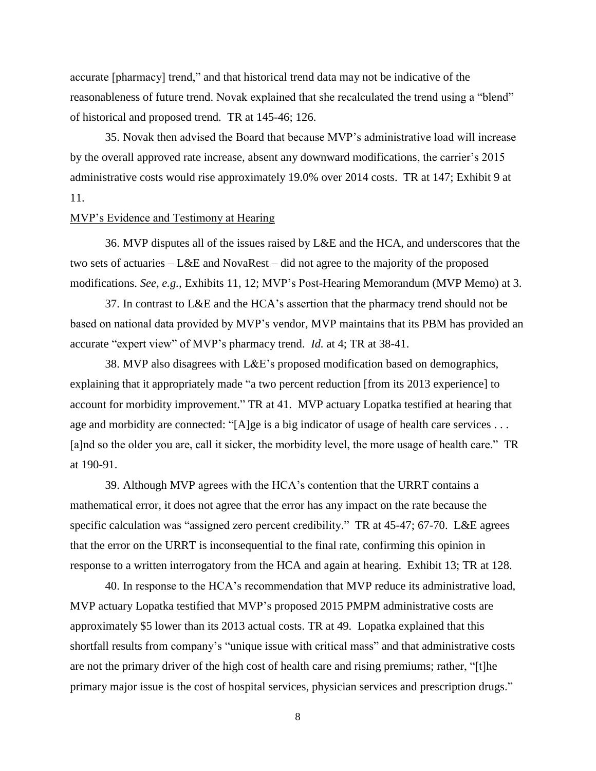accurate [pharmacy] trend," and that historical trend data may not be indicative of the reasonableness of future trend. Novak explained that she recalculated the trend using a "blend" of historical and proposed trend. TR at 145-46; 126.

35. Novak then advised the Board that because MVP's administrative load will increase by the overall approved rate increase, absent any downward modifications, the carrier's 2015 administrative costs would rise approximately 19.0% over 2014 costs. TR at 147; Exhibit 9 at 11.

#### MVP's Evidence and Testimony at Hearing

36. MVP disputes all of the issues raised by L&E and the HCA, and underscores that the two sets of actuaries – L&E and NovaRest – did not agree to the majority of the proposed modifications. *See, e.g.,* Exhibits 11, 12; MVP's Post-Hearing Memorandum (MVP Memo) at 3.

37. In contrast to L&E and the HCA's assertion that the pharmacy trend should not be based on national data provided by MVP's vendor, MVP maintains that its PBM has provided an accurate "expert view" of MVP's pharmacy trend. *Id.* at 4; TR at 38-41.

38. MVP also disagrees with L&E's proposed modification based on demographics, explaining that it appropriately made "a two percent reduction [from its 2013 experience] to account for morbidity improvement." TR at 41. MVP actuary Lopatka testified at hearing that age and morbidity are connected: "[A]ge is a big indicator of usage of health care services ... [a]nd so the older you are, call it sicker, the morbidity level, the more usage of health care." TR at 190-91.

39. Although MVP agrees with the HCA's contention that the URRT contains a mathematical error, it does not agree that the error has any impact on the rate because the specific calculation was "assigned zero percent credibility." TR at 45-47; 67-70. L&E agrees that the error on the URRT is inconsequential to the final rate, confirming this opinion in response to a written interrogatory from the HCA and again at hearing. Exhibit 13; TR at 128.

40. In response to the HCA's recommendation that MVP reduce its administrative load, MVP actuary Lopatka testified that MVP's proposed 2015 PMPM administrative costs are approximately \$5 lower than its 2013 actual costs. TR at 49. Lopatka explained that this shortfall results from company's "unique issue with critical mass" and that administrative costs are not the primary driver of the high cost of health care and rising premiums; rather, "[t]he primary major issue is the cost of hospital services, physician services and prescription drugs."

8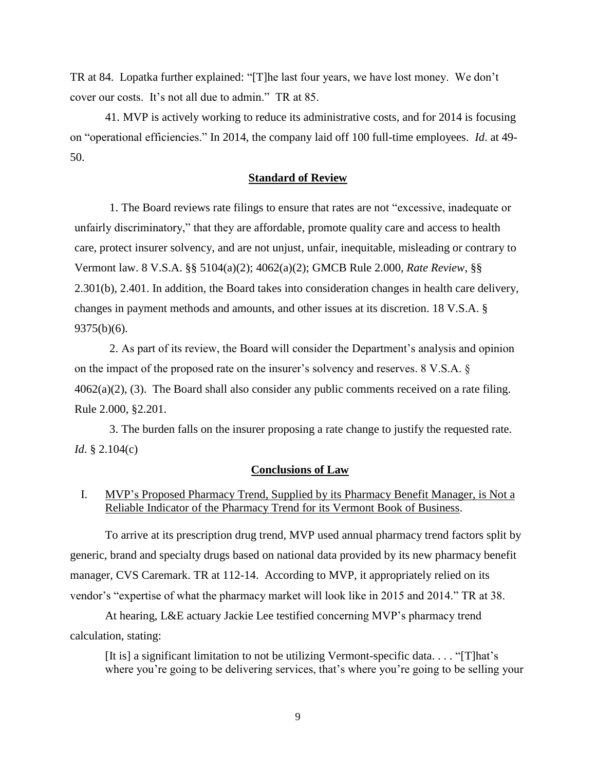TR at 84. Lopatka further explained: "[T]he last four years, we have lost money. We don't cover our costs. It's not all due to admin." TR at 85.

41. MVP is actively working to reduce its administrative costs, and for 2014 is focusing on "operational efficiencies." In 2014, the company laid off 100 full-time employees. *Id*. at 49- 50.

#### **Standard of Review**

1. The Board reviews rate filings to ensure that rates are not "excessive, inadequate or unfairly discriminatory," that they are affordable, promote quality care and access to health care, protect insurer solvency, and are not unjust, unfair, inequitable, misleading or contrary to Vermont law. 8 V.S.A. §§ 5104(a)(2); 4062(a)(2); GMCB Rule 2.000, *Rate Review*, §§ 2.301(b), 2.401. In addition, the Board takes into consideration changes in health care delivery, changes in payment methods and amounts, and other issues at its discretion. 18 V.S.A. § 9375(b)(6).

2. As part of its review, the Board will consider the Department's analysis and opinion on the impact of the proposed rate on the insurer's solvency and reserves. 8 V.S.A. §  $4062(a)(2)$ , (3). The Board shall also consider any public comments received on a rate filing. Rule 2.000, §2.201.

3. The burden falls on the insurer proposing a rate change to justify the requested rate. *Id*. § 2.104(c)

#### **Conclusions of Law**

## I. MVP's Proposed Pharmacy Trend, Supplied by its Pharmacy Benefit Manager, is Not a Reliable Indicator of the Pharmacy Trend for its Vermont Book of Business.

To arrive at its prescription drug trend, MVP used annual pharmacy trend factors split by generic, brand and specialty drugs based on national data provided by its new pharmacy benefit manager, CVS Caremark. TR at 112-14. According to MVP, it appropriately relied on its vendor's "expertise of what the pharmacy market will look like in 2015 and 2014." TR at 38.

At hearing, L&E actuary Jackie Lee testified concerning MVP's pharmacy trend calculation, stating:

[It is] a significant limitation to not be utilizing Vermont-specific data. . . . "[T]hat's where you're going to be delivering services, that's where you're going to be selling your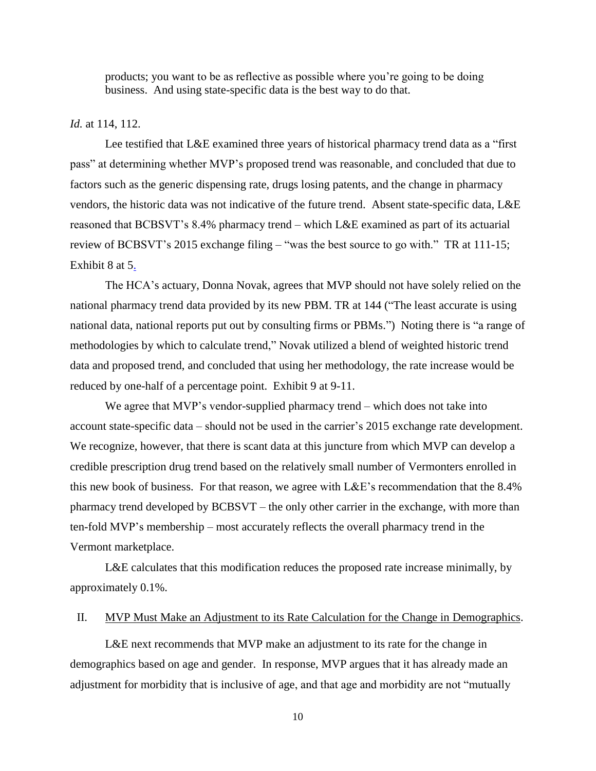products; you want to be as reflective as possible where you're going to be doing business. And using state-specific data is the best way to do that.

#### *Id.* at 114, 112.

Lee testified that L&E examined three years of historical pharmacy trend data as a "first pass" at determining whether MVP's proposed trend was reasonable, and concluded that due to factors such as the generic dispensing rate, drugs losing patents, and the change in pharmacy vendors, the historic data was not indicative of the future trend. Absent state-specific data, L&E reasoned that BCBSVT's 8.4% pharmacy trend – which L&E examined as part of its actuarial review of BCBSVT's 2015 exchange filing – "was the best source to go with." TR at 111-15; Exhibit 8 at 5.

The HCA's actuary, Donna Novak, agrees that MVP should not have solely relied on the national pharmacy trend data provided by its new PBM. TR at 144 ("The least accurate is using national data, national reports put out by consulting firms or PBMs.") Noting there is "a range of methodologies by which to calculate trend," Novak utilized a blend of weighted historic trend data and proposed trend, and concluded that using her methodology, the rate increase would be reduced by one-half of a percentage point. Exhibit 9 at 9-11.

We agree that MVP's vendor-supplied pharmacy trend – which does not take into account state-specific data – should not be used in the carrier's 2015 exchange rate development. We recognize, however, that there is scant data at this juncture from which MVP can develop a credible prescription drug trend based on the relatively small number of Vermonters enrolled in this new book of business. For that reason, we agree with L&E's recommendation that the 8.4% pharmacy trend developed by BCBSVT – the only other carrier in the exchange, with more than ten-fold MVP's membership – most accurately reflects the overall pharmacy trend in the Vermont marketplace.

L&E calculates that this modification reduces the proposed rate increase minimally, by approximately 0.1%.

### II. MVP Must Make an Adjustment to its Rate Calculation for the Change in Demographics.

L&E next recommends that MVP make an adjustment to its rate for the change in demographics based on age and gender. In response, MVP argues that it has already made an adjustment for morbidity that is inclusive of age, and that age and morbidity are not "mutually

10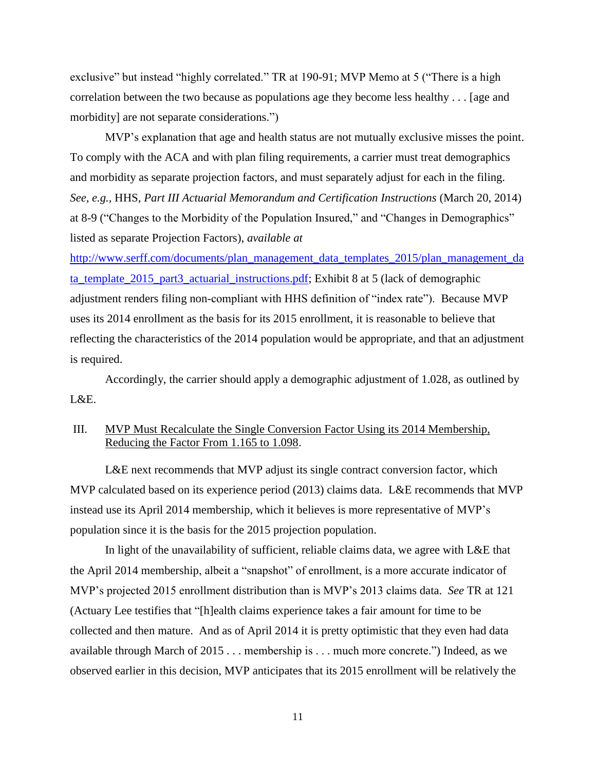exclusive" but instead "highly correlated." TR at 190-91; MVP Memo at 5 ("There is a high correlation between the two because as populations age they become less healthy . . . [age and morbidity] are not separate considerations.")

MVP's explanation that age and health status are not mutually exclusive misses the point. To comply with the ACA and with plan filing requirements, a carrier must treat demographics and morbidity as separate projection factors, and must separately adjust for each in the filing. *See, e.g.,* HHS, *Part III Actuarial Memorandum and Certification Instructions* (March 20, 2014) at 8-9 ("Changes to the Morbidity of the Population Insured," and "Changes in Demographics" listed as separate Projection Factors), *available at*

[http://www.serff.com/documents/plan\\_management\\_data\\_templates\\_2015/plan\\_management\\_da](http://www.serff.com/documents/plan_management_data_templates_2015/plan_management_data_template_2015_part3_actuarial_instructions.pdf) [ta\\_template\\_2015\\_part3\\_actuarial\\_instructions.pdf;](http://www.serff.com/documents/plan_management_data_templates_2015/plan_management_data_template_2015_part3_actuarial_instructions.pdf) Exhibit 8 at 5 (lack of demographic adjustment renders filing non-compliant with HHS definition of "index rate"). Because MVP uses its 2014 enrollment as the basis for its 2015 enrollment, it is reasonable to believe that reflecting the characteristics of the 2014 population would be appropriate, and that an adjustment is required.

Accordingly, the carrier should apply a demographic adjustment of 1.028, as outlined by  $L \& E$ .

### III. MVP Must Recalculate the Single Conversion Factor Using its 2014 Membership, Reducing the Factor From 1.165 to 1.098.

L&E next recommends that MVP adjust its single contract conversion factor, which MVP calculated based on its experience period (2013) claims data. L&E recommends that MVP instead use its April 2014 membership, which it believes is more representative of MVP's population since it is the basis for the 2015 projection population.

In light of the unavailability of sufficient, reliable claims data, we agree with L&E that the April 2014 membership, albeit a "snapshot" of enrollment, is a more accurate indicator of MVP's projected 2015 enrollment distribution than is MVP's 2013 claims data. *See* TR at 121 (Actuary Lee testifies that "[h]ealth claims experience takes a fair amount for time to be collected and then mature. And as of April 2014 it is pretty optimistic that they even had data available through March of 2015 . . . membership is . . . much more concrete.") Indeed, as we observed earlier in this decision, MVP anticipates that its 2015 enrollment will be relatively the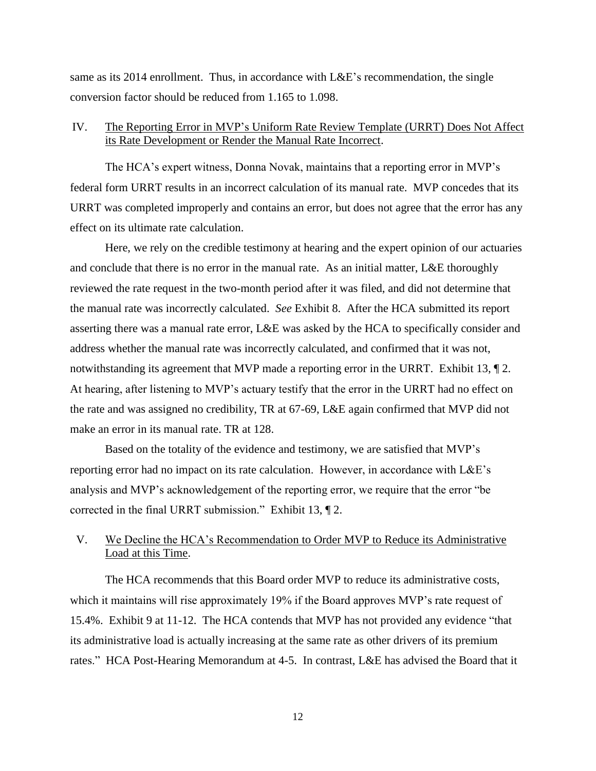same as its 2014 enrollment. Thus, in accordance with L&E's recommendation, the single conversion factor should be reduced from 1.165 to 1.098.

### IV. The Reporting Error in MVP's Uniform Rate Review Template (URRT) Does Not Affect its Rate Development or Render the Manual Rate Incorrect.

The HCA's expert witness, Donna Novak, maintains that a reporting error in MVP's federal form URRT results in an incorrect calculation of its manual rate. MVP concedes that its URRT was completed improperly and contains an error, but does not agree that the error has any effect on its ultimate rate calculation.

Here, we rely on the credible testimony at hearing and the expert opinion of our actuaries and conclude that there is no error in the manual rate. As an initial matter, L&E thoroughly reviewed the rate request in the two-month period after it was filed, and did not determine that the manual rate was incorrectly calculated. *See* Exhibit 8. After the HCA submitted its report asserting there was a manual rate error, L&E was asked by the HCA to specifically consider and address whether the manual rate was incorrectly calculated, and confirmed that it was not, notwithstanding its agreement that MVP made a reporting error in the URRT. Exhibit 13, 12. At hearing, after listening to MVP's actuary testify that the error in the URRT had no effect on the rate and was assigned no credibility, TR at 67-69, L&E again confirmed that MVP did not make an error in its manual rate. TR at 128.

Based on the totality of the evidence and testimony, we are satisfied that MVP's reporting error had no impact on its rate calculation. However, in accordance with L&E's analysis and MVP's acknowledgement of the reporting error, we require that the error "be corrected in the final URRT submission." Exhibit 13, ¶ 2.

# V. We Decline the HCA's Recommendation to Order MVP to Reduce its Administrative Load at this Time.

The HCA recommends that this Board order MVP to reduce its administrative costs, which it maintains will rise approximately 19% if the Board approves MVP's rate request of 15.4%. Exhibit 9 at 11-12. The HCA contends that MVP has not provided any evidence "that its administrative load is actually increasing at the same rate as other drivers of its premium rates." HCA Post-Hearing Memorandum at 4-5. In contrast, L&E has advised the Board that it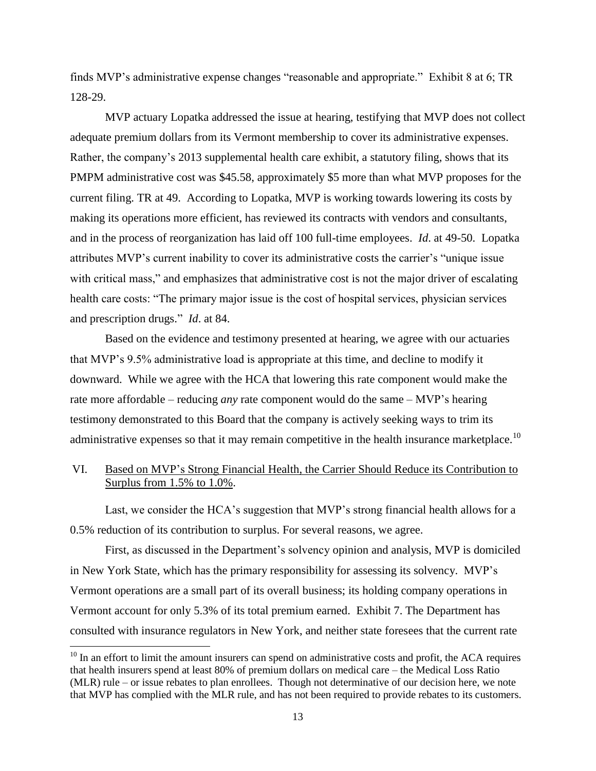finds MVP's administrative expense changes "reasonable and appropriate." Exhibit 8 at 6; TR 128-29.

MVP actuary Lopatka addressed the issue at hearing, testifying that MVP does not collect adequate premium dollars from its Vermont membership to cover its administrative expenses. Rather, the company's 2013 supplemental health care exhibit, a statutory filing, shows that its PMPM administrative cost was \$45.58, approximately \$5 more than what MVP proposes for the current filing. TR at 49. According to Lopatka, MVP is working towards lowering its costs by making its operations more efficient, has reviewed its contracts with vendors and consultants, and in the process of reorganization has laid off 100 full-time employees. *Id*. at 49-50. Lopatka attributes MVP's current inability to cover its administrative costs the carrier's "unique issue with critical mass," and emphasizes that administrative cost is not the major driver of escalating health care costs: "The primary major issue is the cost of hospital services, physician services and prescription drugs." *Id*. at 84.

Based on the evidence and testimony presented at hearing, we agree with our actuaries that MVP's 9.5% administrative load is appropriate at this time, and decline to modify it downward. While we agree with the HCA that lowering this rate component would make the rate more affordable – reducing *any* rate component would do the same – MVP's hearing testimony demonstrated to this Board that the company is actively seeking ways to trim its administrative expenses so that it may remain competitive in the health insurance marketplace.<sup>10</sup>

# VI. Based on MVP's Strong Financial Health, the Carrier Should Reduce its Contribution to Surplus from 1.5% to 1.0%.

Last, we consider the HCA's suggestion that MVP's strong financial health allows for a 0.5% reduction of its contribution to surplus. For several reasons, we agree.

First, as discussed in the Department's solvency opinion and analysis, MVP is domiciled in New York State, which has the primary responsibility for assessing its solvency. MVP's Vermont operations are a small part of its overall business; its holding company operations in Vermont account for only 5.3% of its total premium earned. Exhibit 7. The Department has consulted with insurance regulators in New York, and neither state foresees that the current rate

l

 $10$  In an effort to limit the amount insurers can spend on administrative costs and profit, the ACA requires that health insurers spend at least 80% of premium dollars on medical care – the Medical Loss Ratio (MLR) rule – or issue rebates to plan enrollees. Though not determinative of our decision here, we note that MVP has complied with the MLR rule, and has not been required to provide rebates to its customers.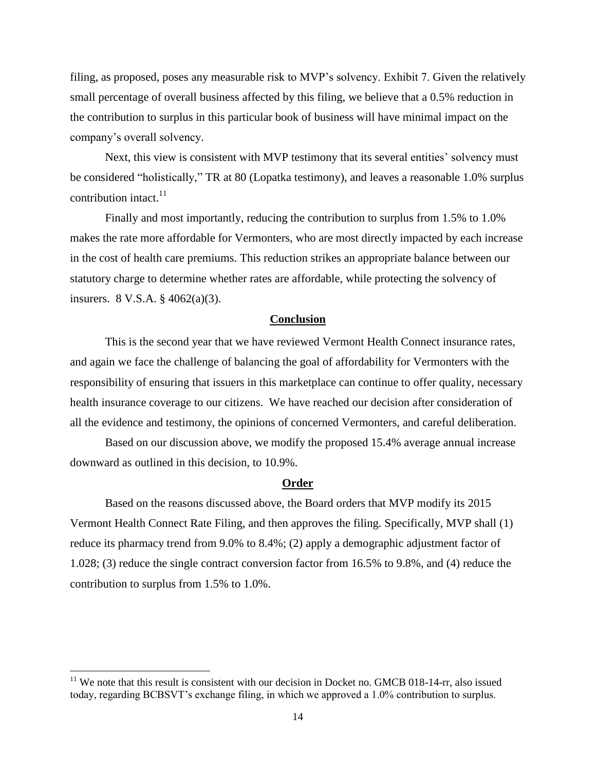filing, as proposed, poses any measurable risk to MVP's solvency. Exhibit 7. Given the relatively small percentage of overall business affected by this filing, we believe that a 0.5% reduction in the contribution to surplus in this particular book of business will have minimal impact on the company's overall solvency.

Next, this view is consistent with MVP testimony that its several entities' solvency must be considered "holistically," TR at 80 (Lopatka testimony), and leaves a reasonable 1.0% surplus contribution intact. $^{11}$ 

Finally and most importantly, reducing the contribution to surplus from 1.5% to 1.0% makes the rate more affordable for Vermonters, who are most directly impacted by each increase in the cost of health care premiums. This reduction strikes an appropriate balance between our statutory charge to determine whether rates are affordable, while protecting the solvency of insurers. 8 V.S.A. § 4062(a)(3).

### **Conclusion**

This is the second year that we have reviewed Vermont Health Connect insurance rates, and again we face the challenge of balancing the goal of affordability for Vermonters with the responsibility of ensuring that issuers in this marketplace can continue to offer quality, necessary health insurance coverage to our citizens. We have reached our decision after consideration of all the evidence and testimony, the opinions of concerned Vermonters, and careful deliberation.

Based on our discussion above, we modify the proposed 15.4% average annual increase downward as outlined in this decision, to 10.9%.

#### **Order**

Based on the reasons discussed above, the Board orders that MVP modify its 2015 Vermont Health Connect Rate Filing, and then approves the filing. Specifically, MVP shall (1) reduce its pharmacy trend from 9.0% to 8.4%; (2) apply a demographic adjustment factor of 1.028; (3) reduce the single contract conversion factor from 16.5% to 9.8%, and (4) reduce the contribution to surplus from 1.5% to 1.0%.

 $\overline{\phantom{a}}$ 

 $11$  We note that this result is consistent with our decision in Docket no. GMCB 018-14-rr, also issued today, regarding BCBSVT's exchange filing, in which we approved a 1.0% contribution to surplus.